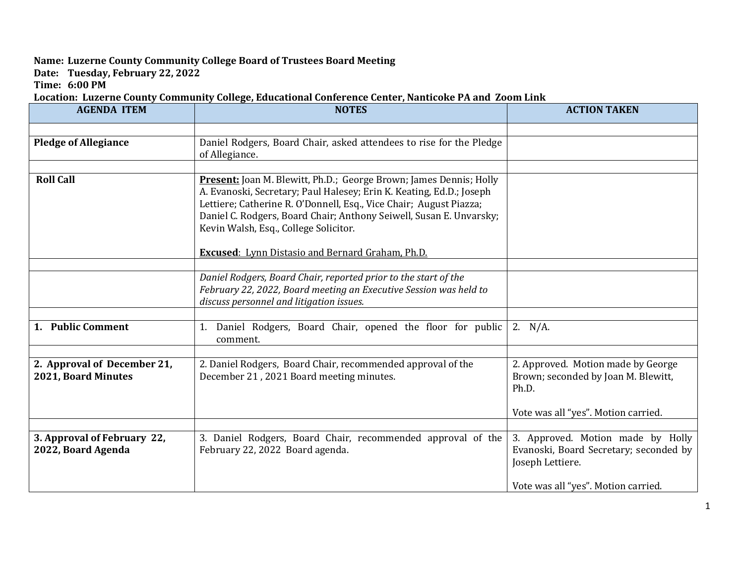## **Name: Luzerne County Community College Board of Trustees Board Meeting**

**Date: Tuesday, February 22, 2022**

**Time: 6:00 PM**

**Location: Luzerne County Community College, Educational Conference Center, Nanticoke PA and Zoom Link**

| <b>AGENDA ITEM</b>                                 | <b>NOTES</b>                                                                                                                                                                                                                                                                                                                                                                                | <b>ACTION TAKEN</b>                                                                                                                    |
|----------------------------------------------------|---------------------------------------------------------------------------------------------------------------------------------------------------------------------------------------------------------------------------------------------------------------------------------------------------------------------------------------------------------------------------------------------|----------------------------------------------------------------------------------------------------------------------------------------|
|                                                    |                                                                                                                                                                                                                                                                                                                                                                                             |                                                                                                                                        |
| <b>Pledge of Allegiance</b>                        | Daniel Rodgers, Board Chair, asked attendees to rise for the Pledge<br>of Allegiance.                                                                                                                                                                                                                                                                                                       |                                                                                                                                        |
| <b>Roll Call</b>                                   | Present: Joan M. Blewitt, Ph.D.; George Brown; James Dennis; Holly<br>A. Evanoski, Secretary; Paul Halesey; Erin K. Keating, Ed.D.; Joseph<br>Lettiere; Catherine R. O'Donnell, Esq., Vice Chair; August Piazza;<br>Daniel C. Rodgers, Board Chair; Anthony Seiwell, Susan E. Unvarsky;<br>Kevin Walsh, Esq., College Solicitor.<br><b>Excused:</b> Lynn Distasio and Bernard Graham, Ph.D. |                                                                                                                                        |
|                                                    | Daniel Rodgers, Board Chair, reported prior to the start of the<br>February 22, 2022, Board meeting an Executive Session was held to<br>discuss personnel and litigation issues.                                                                                                                                                                                                            |                                                                                                                                        |
| 1. Public Comment                                  | 1. Daniel Rodgers, Board Chair, opened the floor for public<br>comment.                                                                                                                                                                                                                                                                                                                     | 2. $N/A$ .                                                                                                                             |
| 2. Approval of December 21,<br>2021, Board Minutes | 2. Daniel Rodgers, Board Chair, recommended approval of the<br>December 21, 2021 Board meeting minutes.                                                                                                                                                                                                                                                                                     | 2. Approved. Motion made by George<br>Brown; seconded by Joan M. Blewitt,<br>Ph.D.<br>Vote was all "yes". Motion carried.              |
| 3. Approval of February 22,<br>2022, Board Agenda  | 3. Daniel Rodgers, Board Chair, recommended approval of the<br>February 22, 2022 Board agenda.                                                                                                                                                                                                                                                                                              | 3. Approved. Motion made by Holly<br>Evanoski, Board Secretary; seconded by<br>Joseph Lettiere.<br>Vote was all "yes". Motion carried. |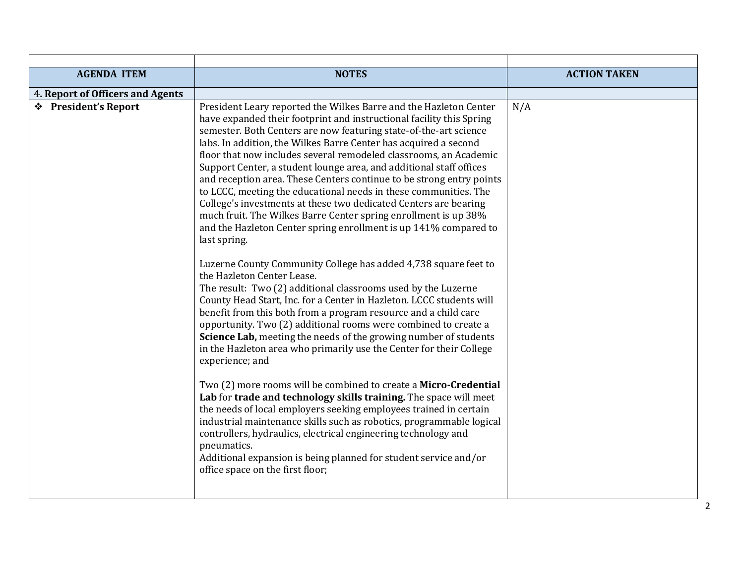| <b>AGENDA ITEM</b>               | <b>NOTES</b>                                                                                                                                                                                                                                                                                                                                                                                                                                                                                                                                                                                                                                                                                                                                                                                                                                                                                                                                                                                                                                                                                                                                                                                                                                                                                                                                                                                                                                                                                                                                                                                                                                                                                                                                                                                                                       | <b>ACTION TAKEN</b> |
|----------------------------------|------------------------------------------------------------------------------------------------------------------------------------------------------------------------------------------------------------------------------------------------------------------------------------------------------------------------------------------------------------------------------------------------------------------------------------------------------------------------------------------------------------------------------------------------------------------------------------------------------------------------------------------------------------------------------------------------------------------------------------------------------------------------------------------------------------------------------------------------------------------------------------------------------------------------------------------------------------------------------------------------------------------------------------------------------------------------------------------------------------------------------------------------------------------------------------------------------------------------------------------------------------------------------------------------------------------------------------------------------------------------------------------------------------------------------------------------------------------------------------------------------------------------------------------------------------------------------------------------------------------------------------------------------------------------------------------------------------------------------------------------------------------------------------------------------------------------------------|---------------------|
| 4. Report of Officers and Agents |                                                                                                                                                                                                                                                                                                                                                                                                                                                                                                                                                                                                                                                                                                                                                                                                                                                                                                                                                                                                                                                                                                                                                                                                                                                                                                                                                                                                                                                                                                                                                                                                                                                                                                                                                                                                                                    |                     |
| ❖ President's Report             | President Leary reported the Wilkes Barre and the Hazleton Center<br>have expanded their footprint and instructional facility this Spring<br>semester. Both Centers are now featuring state-of-the-art science<br>labs. In addition, the Wilkes Barre Center has acquired a second<br>floor that now includes several remodeled classrooms, an Academic<br>Support Center, a student lounge area, and additional staff offices<br>and reception area. These Centers continue to be strong entry points<br>to LCCC, meeting the educational needs in these communities. The<br>College's investments at these two dedicated Centers are bearing<br>much fruit. The Wilkes Barre Center spring enrollment is up 38%<br>and the Hazleton Center spring enrollment is up 141% compared to<br>last spring.<br>Luzerne County Community College has added 4,738 square feet to<br>the Hazleton Center Lease.<br>The result: Two (2) additional classrooms used by the Luzerne<br>County Head Start, Inc. for a Center in Hazleton. LCCC students will<br>benefit from this both from a program resource and a child care<br>opportunity. Two (2) additional rooms were combined to create a<br>Science Lab, meeting the needs of the growing number of students<br>in the Hazleton area who primarily use the Center for their College<br>experience; and<br>Two (2) more rooms will be combined to create a Micro-Credential<br>Lab for trade and technology skills training. The space will meet<br>the needs of local employers seeking employees trained in certain<br>industrial maintenance skills such as robotics, programmable logical<br>controllers, hydraulics, electrical engineering technology and<br>pneumatics.<br>Additional expansion is being planned for student service and/or<br>office space on the first floor; | N/A                 |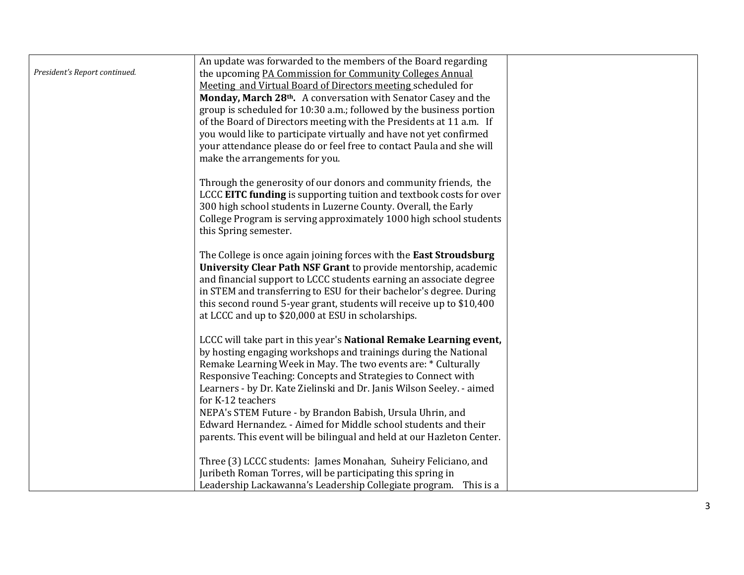|                               | An update was forwarded to the members of the Board regarding                                                                         |  |
|-------------------------------|---------------------------------------------------------------------------------------------------------------------------------------|--|
| President's Report continued. | the upcoming PA Commission for Community Colleges Annual                                                                              |  |
|                               | Meeting and Virtual Board of Directors meeting scheduled for                                                                          |  |
|                               | Monday, March 28th. A conversation with Senator Casey and the                                                                         |  |
|                               | group is scheduled for 10:30 a.m.; followed by the business portion                                                                   |  |
|                               | of the Board of Directors meeting with the Presidents at 11 a.m. If                                                                   |  |
|                               | you would like to participate virtually and have not yet confirmed                                                                    |  |
|                               | your attendance please do or feel free to contact Paula and she will                                                                  |  |
|                               | make the arrangements for you.                                                                                                        |  |
|                               |                                                                                                                                       |  |
|                               | Through the generosity of our donors and community friends, the                                                                       |  |
|                               | LCCC EITC funding is supporting tuition and textbook costs for over                                                                   |  |
|                               | 300 high school students in Luzerne County. Overall, the Early                                                                        |  |
|                               | College Program is serving approximately 1000 high school students                                                                    |  |
|                               | this Spring semester.                                                                                                                 |  |
|                               |                                                                                                                                       |  |
|                               | The College is once again joining forces with the East Stroudsburg<br>University Clear Path NSF Grant to provide mentorship, academic |  |
|                               | and financial support to LCCC students earning an associate degree                                                                    |  |
|                               | in STEM and transferring to ESU for their bachelor's degree. During                                                                   |  |
|                               | this second round 5-year grant, students will receive up to \$10,400                                                                  |  |
|                               | at LCCC and up to \$20,000 at ESU in scholarships.                                                                                    |  |
|                               |                                                                                                                                       |  |
|                               | LCCC will take part in this year's National Remake Learning event,                                                                    |  |
|                               | by hosting engaging workshops and trainings during the National                                                                       |  |
|                               | Remake Learning Week in May. The two events are: * Culturally                                                                         |  |
|                               | Responsive Teaching: Concepts and Strategies to Connect with                                                                          |  |
|                               | Learners - by Dr. Kate Zielinski and Dr. Janis Wilson Seeley. - aimed                                                                 |  |
|                               | for K-12 teachers                                                                                                                     |  |
|                               | NEPA's STEM Future - by Brandon Babish, Ursula Uhrin, and                                                                             |  |
|                               | Edward Hernandez. - Aimed for Middle school students and their                                                                        |  |
|                               | parents. This event will be bilingual and held at our Hazleton Center.                                                                |  |
|                               |                                                                                                                                       |  |
|                               | Three (3) LCCC students: James Monahan, Suheiry Feliciano, and                                                                        |  |
|                               | Juribeth Roman Torres, will be participating this spring in                                                                           |  |
|                               | Leadership Lackawanna's Leadership Collegiate program.<br>This is a                                                                   |  |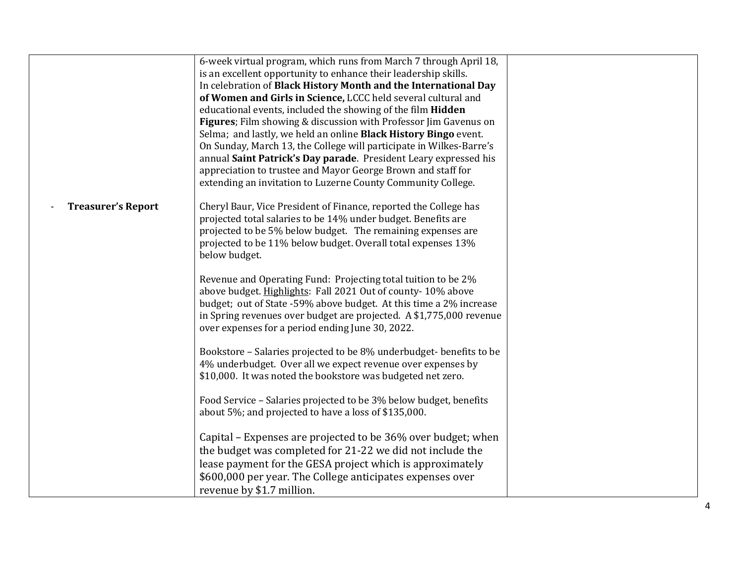|                           | 6-week virtual program, which runs from March 7 through April 18,   |  |
|---------------------------|---------------------------------------------------------------------|--|
|                           | is an excellent opportunity to enhance their leadership skills.     |  |
|                           | In celebration of Black History Month and the International Day     |  |
|                           | of Women and Girls in Science, LCCC held several cultural and       |  |
|                           | educational events, included the showing of the film Hidden         |  |
|                           | Figures; Film showing & discussion with Professor Jim Gavenus on    |  |
|                           | Selma; and lastly, we held an online Black History Bingo event.     |  |
|                           | On Sunday, March 13, the College will participate in Wilkes-Barre's |  |
|                           | annual Saint Patrick's Day parade. President Leary expressed his    |  |
|                           | appreciation to trustee and Mayor George Brown and staff for        |  |
|                           | extending an invitation to Luzerne County Community College.        |  |
|                           |                                                                     |  |
| <b>Treasurer's Report</b> | Cheryl Baur, Vice President of Finance, reported the College has    |  |
|                           | projected total salaries to be 14% under budget. Benefits are       |  |
|                           | projected to be 5% below budget. The remaining expenses are         |  |
|                           | projected to be 11% below budget. Overall total expenses 13%        |  |
|                           | below budget.                                                       |  |
|                           | Revenue and Operating Fund: Projecting total tuition to be 2%       |  |
|                           | above budget. Highlights: Fall 2021 Out of county-10% above         |  |
|                           | budget; out of State -59% above budget. At this time a 2% increase  |  |
|                           | in Spring revenues over budget are projected. A \$1,775,000 revenue |  |
|                           | over expenses for a period ending June 30, 2022.                    |  |
|                           |                                                                     |  |
|                           | Bookstore - Salaries projected to be 8% underbudget-benefits to be  |  |
|                           | 4% underbudget. Over all we expect revenue over expenses by         |  |
|                           | \$10,000. It was noted the bookstore was budgeted net zero.         |  |
|                           |                                                                     |  |
|                           | Food Service - Salaries projected to be 3% below budget, benefits   |  |
|                           | about 5%; and projected to have a loss of \$135,000.                |  |
|                           |                                                                     |  |
|                           | Capital – Expenses are projected to be 36% over budget; when        |  |
|                           | the budget was completed for 21-22 we did not include the           |  |
|                           | lease payment for the GESA project which is approximately           |  |
|                           | \$600,000 per year. The College anticipates expenses over           |  |
|                           | revenue by \$1.7 million.                                           |  |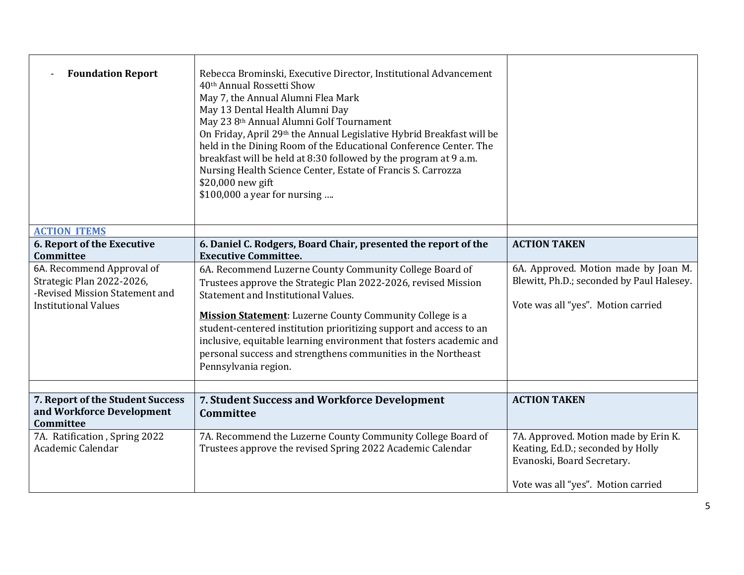| <b>Foundation Report</b>                                                                                                | Rebecca Brominski, Executive Director, Institutional Advancement<br>40th Annual Rossetti Show<br>May 7, the Annual Alumni Flea Mark<br>May 13 Dental Health Alumni Day<br>May 23 8th Annual Alumni Golf Tournament<br>On Friday, April 29th the Annual Legislative Hybrid Breakfast will be<br>held in the Dining Room of the Educational Conference Center. The<br>breakfast will be held at 8:30 followed by the program at 9 a.m.<br>Nursing Health Science Center, Estate of Francis S. Carrozza<br>\$20,000 new gift<br>\$100,000 a year for nursing |                                                                                                                                               |
|-------------------------------------------------------------------------------------------------------------------------|-----------------------------------------------------------------------------------------------------------------------------------------------------------------------------------------------------------------------------------------------------------------------------------------------------------------------------------------------------------------------------------------------------------------------------------------------------------------------------------------------------------------------------------------------------------|-----------------------------------------------------------------------------------------------------------------------------------------------|
| <b>ACTION ITEMS</b>                                                                                                     |                                                                                                                                                                                                                                                                                                                                                                                                                                                                                                                                                           |                                                                                                                                               |
| 6. Report of the Executive<br>Committee                                                                                 | 6. Daniel C. Rodgers, Board Chair, presented the report of the<br><b>Executive Committee.</b>                                                                                                                                                                                                                                                                                                                                                                                                                                                             | <b>ACTION TAKEN</b>                                                                                                                           |
| 6A. Recommend Approval of<br>Strategic Plan 2022-2026,<br>-Revised Mission Statement and<br><b>Institutional Values</b> | 6A. Recommend Luzerne County Community College Board of<br>Trustees approve the Strategic Plan 2022-2026, revised Mission<br>Statement and Institutional Values.<br><b>Mission Statement:</b> Luzerne County Community College is a<br>student-centered institution prioritizing support and access to an<br>inclusive, equitable learning environment that fosters academic and<br>personal success and strengthens communities in the Northeast<br>Pennsylvania region.                                                                                 | 6A. Approved. Motion made by Joan M.<br>Blewitt, Ph.D.; seconded by Paul Halesey.<br>Vote was all "yes". Motion carried                       |
|                                                                                                                         |                                                                                                                                                                                                                                                                                                                                                                                                                                                                                                                                                           |                                                                                                                                               |
| 7. Report of the Student Success<br>and Workforce Development<br>Committee                                              | 7. Student Success and Workforce Development<br>Committee                                                                                                                                                                                                                                                                                                                                                                                                                                                                                                 | <b>ACTION TAKEN</b>                                                                                                                           |
| 7A. Ratification, Spring 2022<br>Academic Calendar                                                                      | 7A. Recommend the Luzerne County Community College Board of<br>Trustees approve the revised Spring 2022 Academic Calendar                                                                                                                                                                                                                                                                                                                                                                                                                                 | 7A. Approved. Motion made by Erin K.<br>Keating, Ed.D.; seconded by Holly<br>Evanoski, Board Secretary.<br>Vote was all "yes". Motion carried |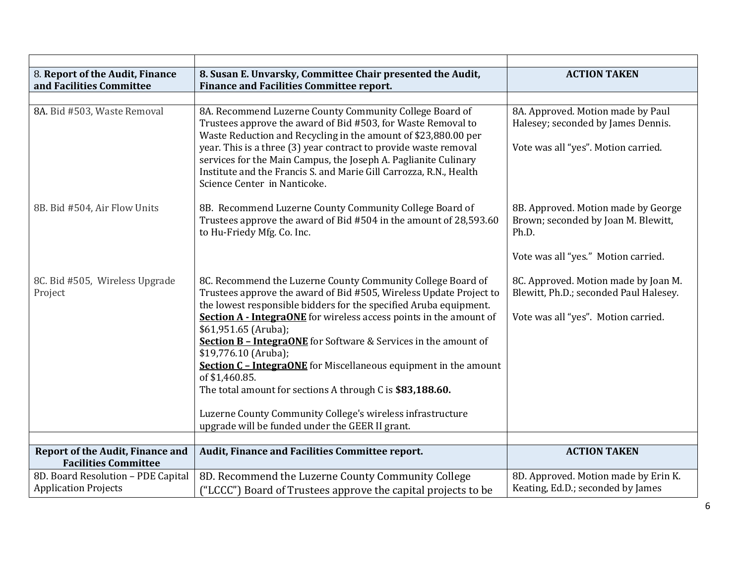| 8. Report of the Audit, Finance<br>and Facilities Committee       | 8. Susan E. Unvarsky, Committee Chair presented the Audit,<br><b>Finance and Facilities Committee report.</b>                                                                                                                                                                                                                                                                                                                                                                                                                                                                                                                                                                            | <b>ACTION TAKEN</b>                                                                                                        |
|-------------------------------------------------------------------|------------------------------------------------------------------------------------------------------------------------------------------------------------------------------------------------------------------------------------------------------------------------------------------------------------------------------------------------------------------------------------------------------------------------------------------------------------------------------------------------------------------------------------------------------------------------------------------------------------------------------------------------------------------------------------------|----------------------------------------------------------------------------------------------------------------------------|
|                                                                   |                                                                                                                                                                                                                                                                                                                                                                                                                                                                                                                                                                                                                                                                                          |                                                                                                                            |
| 8A. Bid #503, Waste Removal                                       | 8A. Recommend Luzerne County Community College Board of<br>Trustees approve the award of Bid #503, for Waste Removal to<br>Waste Reduction and Recycling in the amount of \$23,880.00 per<br>year. This is a three (3) year contract to provide waste removal<br>services for the Main Campus, the Joseph A. Paglianite Culinary<br>Institute and the Francis S. and Marie Gill Carrozza, R.N., Health<br>Science Center in Nanticoke.                                                                                                                                                                                                                                                   | 8A. Approved. Motion made by Paul<br>Halesey; seconded by James Dennis.<br>Vote was all "yes". Motion carried.             |
| 8B. Bid #504, Air Flow Units                                      | 8B. Recommend Luzerne County Community College Board of<br>Trustees approve the award of Bid #504 in the amount of 28,593.60<br>to Hu-Friedy Mfg. Co. Inc.                                                                                                                                                                                                                                                                                                                                                                                                                                                                                                                               | 8B. Approved. Motion made by George<br>Brown; seconded by Joan M. Blewitt,<br>Ph.D.<br>Vote was all "yes." Motion carried. |
| 8C. Bid #505, Wireless Upgrade<br>Project                         | 8C. Recommend the Luzerne County Community College Board of<br>Trustees approve the award of Bid #505, Wireless Update Project to<br>the lowest responsible bidders for the specified Aruba equipment.<br><b>Section A - IntegraONE</b> for wireless access points in the amount of<br>\$61,951.65 (Aruba);<br><b>Section B - IntegraONE</b> for Software & Services in the amount of<br>\$19,776.10 (Aruba);<br><b>Section C - IntegraONE</b> for Miscellaneous equipment in the amount<br>of \$1,460.85.<br>The total amount for sections A through C is \$83,188.60.<br>Luzerne County Community College's wireless infrastructure<br>upgrade will be funded under the GEER II grant. | 8C. Approved. Motion made by Joan M.<br>Blewitt, Ph.D.; seconded Paul Halesey.<br>Vote was all "yes". Motion carried.      |
| <b>Report of the Audit, Finance and</b>                           | Audit, Finance and Facilities Committee report.                                                                                                                                                                                                                                                                                                                                                                                                                                                                                                                                                                                                                                          | <b>ACTION TAKEN</b>                                                                                                        |
| <b>Facilities Committee</b>                                       |                                                                                                                                                                                                                                                                                                                                                                                                                                                                                                                                                                                                                                                                                          |                                                                                                                            |
| 8D. Board Resolution - PDE Capital<br><b>Application Projects</b> | 8D. Recommend the Luzerne County Community College<br>("LCCC") Board of Trustees approve the capital projects to be                                                                                                                                                                                                                                                                                                                                                                                                                                                                                                                                                                      | 8D. Approved. Motion made by Erin K.<br>Keating, Ed.D.; seconded by James                                                  |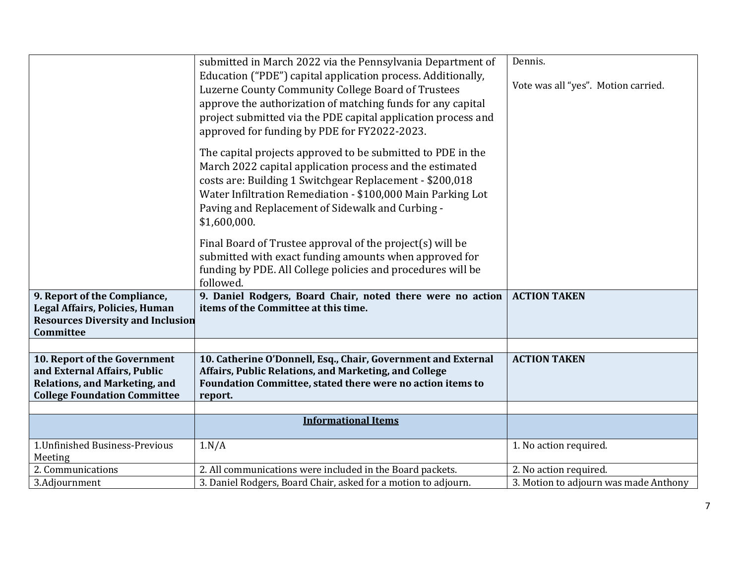|                                                                                                                                             | submitted in March 2022 via the Pennsylvania Department of<br>Education ("PDE") capital application process. Additionally,<br>Luzerne County Community College Board of Trustees<br>approve the authorization of matching funds for any capital<br>project submitted via the PDE capital application process and<br>approved for funding by PDE for FY2022-2023. | Dennis.<br>Vote was all "yes". Motion carried. |
|---------------------------------------------------------------------------------------------------------------------------------------------|------------------------------------------------------------------------------------------------------------------------------------------------------------------------------------------------------------------------------------------------------------------------------------------------------------------------------------------------------------------|------------------------------------------------|
|                                                                                                                                             | The capital projects approved to be submitted to PDE in the<br>March 2022 capital application process and the estimated<br>costs are: Building 1 Switchgear Replacement - \$200,018<br>Water Infiltration Remediation - \$100,000 Main Parking Lot<br>Paving and Replacement of Sidewalk and Curbing -<br>\$1,600,000.                                           |                                                |
|                                                                                                                                             | Final Board of Trustee approval of the project(s) will be<br>submitted with exact funding amounts when approved for<br>funding by PDE. All College policies and procedures will be<br>followed.                                                                                                                                                                  |                                                |
| 9. Report of the Compliance,<br>Legal Affairs, Policies, Human<br><b>Resources Diversity and Inclusion</b><br>Committee                     | 9. Daniel Rodgers, Board Chair, noted there were no action<br>items of the Committee at this time.                                                                                                                                                                                                                                                               | <b>ACTION TAKEN</b>                            |
|                                                                                                                                             |                                                                                                                                                                                                                                                                                                                                                                  |                                                |
| 10. Report of the Government<br>and External Affairs, Public<br><b>Relations, and Marketing, and</b><br><b>College Foundation Committee</b> | 10. Catherine O'Donnell, Esq., Chair, Government and External<br>Affairs, Public Relations, and Marketing, and College<br>Foundation Committee, stated there were no action items to<br>report.                                                                                                                                                                  | <b>ACTION TAKEN</b>                            |
|                                                                                                                                             |                                                                                                                                                                                                                                                                                                                                                                  |                                                |
|                                                                                                                                             | <b>Informational Items</b>                                                                                                                                                                                                                                                                                                                                       |                                                |
| 1. Unfinished Business-Previous<br>Meeting                                                                                                  | 1.N/A                                                                                                                                                                                                                                                                                                                                                            | 1. No action required.                         |
| 2. Communications                                                                                                                           | 2. All communications were included in the Board packets.                                                                                                                                                                                                                                                                                                        | 2. No action required.                         |
| 3.Adjournment                                                                                                                               | 3. Daniel Rodgers, Board Chair, asked for a motion to adjourn.                                                                                                                                                                                                                                                                                                   | 3. Motion to adjourn was made Anthony          |